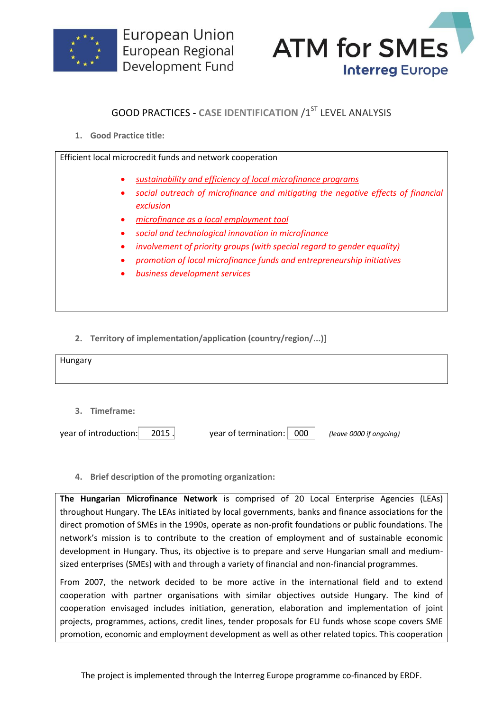



## **GOOD PRACTICES - CASE IDENTIFICATION /1ST LEVEL ANALYSIS**

**1. Good Practice title:**

Efficient local microcredit funds and network cooperation

- *sustainability and efficiency of local microfinance programs*
- *social outreach of microfinance and mitigating the negative effects of financial exclusion*
- *microfinance as a local employment tool*
- *social and technological innovation in microfinance*
- *involvement of priority groups (with special regard to gender equality)*
- *promotion of local microfinance funds and entrepreneurship initiatives*
- *business development services*

**2. Territory of implementation/application (country/region/...)]**

| Hungary       |  |  |
|---------------|--|--|
| 3. Timeframe: |  |  |

| year of introduction:<br>2015. | year of termination: 000 |  | (leave 0000 if ongoing) |
|--------------------------------|--------------------------|--|-------------------------|
|--------------------------------|--------------------------|--|-------------------------|

**4. Brief description of the promoting organization:**

**The Hungarian Microfinance Network** is comprised of 20 Local Enterprise Agencies (LEAs) throughout Hungary. The LEAs initiated by local governments, banks and finance associations for the direct promotion of SMEs in the 1990s, operate as non-profit foundations or public foundations. The network's mission is to contribute to the creation of employment and of sustainable economic development in Hungary. Thus, its objective is to prepare and serve Hungarian small and mediumsized enterprises (SMEs) with and through a variety of financial and non-financial programmes.

From 2007, the network decided to be more active in the international field and to extend cooperation with partner organisations with similar objectives outside Hungary. The kind of cooperation envisaged includes initiation, generation, elaboration and implementation of joint projects, programmes, actions, credit lines, tender proposals for EU funds whose scope covers SME promotion, economic and employment development as well as other related topics. This cooperation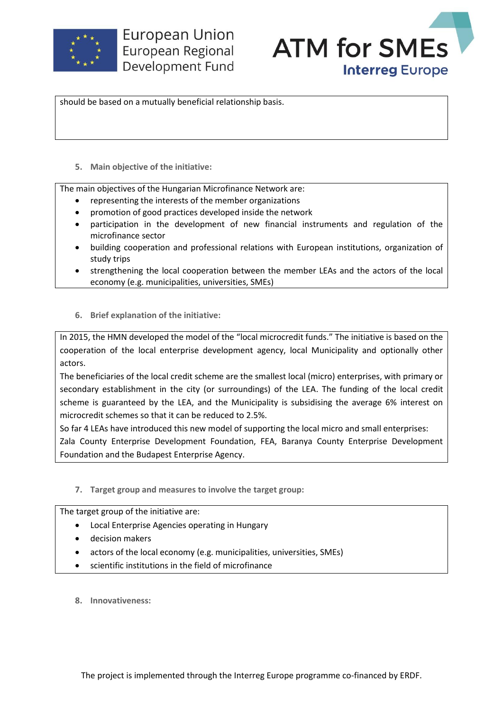

**European Union** European Regional Development Fund



should be based on a mutually beneficial relationship basis.

**5. Main objective of the initiative:**

The main objectives of the Hungarian Microfinance Network are:

- representing the interests of the member organizations
- promotion of good practices developed inside the network
- participation in the development of new financial instruments and regulation of the microfinance sector
- building cooperation and professional relations with European institutions, organization of study trips
- strengthening the local cooperation between the member LEAs and the actors of the local economy (e.g. municipalities, universities, SMEs)
- **6. Brief explanation of the initiative:**

In 2015, the HMN developed the model of the "local microcredit funds." The initiative is based on the cooperation of the local enterprise development agency, local Municipality and optionally other actors.

The beneficiaries of the local credit scheme are the smallest local (micro) enterprises, with primary or secondary establishment in the city (or surroundings) of the LEA. The funding of the local credit scheme is guaranteed by the LEA, and the Municipality is subsidising the average 6% interest on microcredit schemes so that it can be reduced to 2.5%.

So far 4 LEAs have introduced this new model of supporting the local micro and small enterprises: Zala County Enterprise Development Foundation, FEA, Baranya County Enterprise Development Foundation and the Budapest Enterprise Agency.

**7. Target group and measures to involve the target group:**

The target group of the initiative are:

- Local Enterprise Agencies operating in Hungary
- decision makers
- actors of the local economy (e.g. municipalities, universities, SMEs)
- scientific institutions in the field of microfinance
- **8. Innovativeness:**